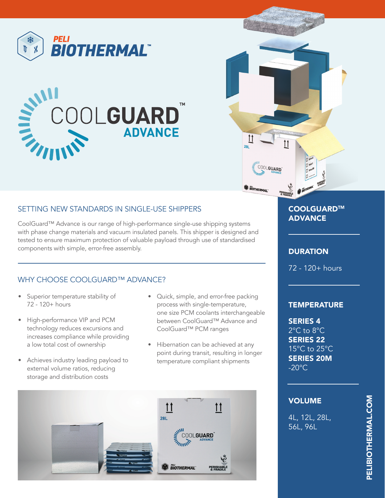





# SETTING NEW STANDARDS IN SINGLE-USE SHIPPERS

CoolGuard™ Advance is our range of high-performance single-use shipping systems with phase change materials and vacuum insulated panels. This shipper is designed and tested to ensure maximum protection of valuable payload through use of standardised components with simple, error-free assembly.

## WHY CHOOSE COOLGUARD™ ADVANCE?

- Superior temperature stability of 72 - 120+ hours
- High-performance VIP and PCM technology reduces excursions and increases compliance while providing a low total cost of ownership
- Achieves industry leading payload to external volume ratios, reducing storage and distribution costs
- Quick, simple, and error-free packing process with single-temperature, one size PCM coolants interchangeable between CoolGuard™ Advance and CoolGuard™ PCM ranges
- Hibernation can be achieved at any point during transit, resulting in longer temperature compliant shipments



# COOLGUARD™ ADVANCE

## **DURATION**

72 - 120+ hours

### **TEMPERATURE**

SERIES 4 2°C to 8°C SERIES 22 15°C to 25°C SERIES 20M  $-20^{\circ}$ C.

### VOLUME

4L, 12L, 28L, 56L, 96L